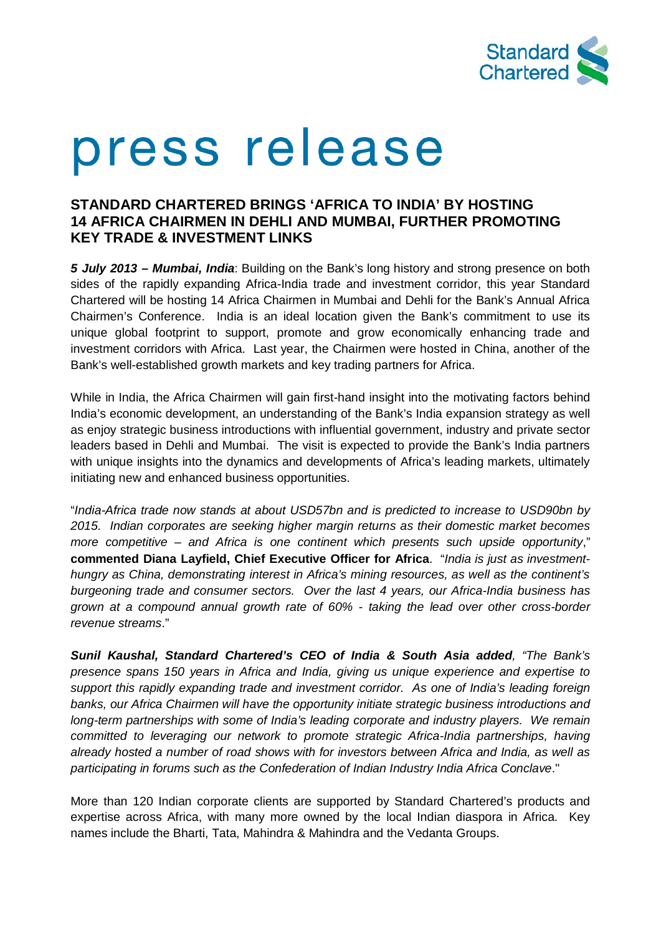

# press release

# **STANDARD CHARTERED BRINGS 'AFRICA TO INDIA' BY HOSTING 14 AFRICA CHAIRMEN IN DEHLI AND MUMBAI, FURTHER PROMOTING KEY TRADE & INVESTMENT LINKS**

*5 July 2013 – Mumbai, India*: Building on the Bank's long history and strong presence on both sides of the rapidly expanding Africa-India trade and investment corridor, this year Standard Chartered will be hosting 14 Africa Chairmen in Mumbai and Dehli for the Bank's Annual Africa Chairmen's Conference. India is an ideal location given the Bank's commitment to use its unique global footprint to support, promote and grow economically enhancing trade and investment corridors with Africa. Last year, the Chairmen were hosted in China, another of the Bank's well-established growth markets and key trading partners for Africa.

While in India, the Africa Chairmen will gain first-hand insight into the motivating factors behind India's economic development, an understanding of the Bank's India expansion strategy as well as enjoy strategic business introductions with influential government, industry and private sector leaders based in Dehli and Mumbai. The visit is expected to provide the Bank's India partners with unique insights into the dynamics and developments of Africa's leading markets, ultimately initiating new and enhanced business opportunities.

"*India-Africa trade now stands at about USD57bn and is predicted to increase to USD90bn by 2015. Indian corporates are seeking higher margin returns as their domestic market becomes more competitive – and Africa is one continent which presents such upside opportunity*," **commented Diana Layfield, Chief Executive Officer for Africa**. "*India is just as investmenthungry as China, demonstrating interest in Africa's mining resources, as well as the continent's burgeoning trade and consumer sectors. Over the last 4 years, our Africa-India business has grown at a compound annual growth rate of 60% - taking the lead over other cross-border revenue streams*."

*Sunil Kaushal, Standard Chartered's CEO of India & South Asia added, "The Bank's presence spans 150 years in Africa and India, giving us unique experience and expertise to support this rapidly expanding trade and investment corridor. As one of India's leading foreign banks, our Africa Chairmen will have the opportunity initiate strategic business introductions and long-term partnerships with some of India's leading corporate and industry players. We remain committed to leveraging our network to promote strategic Africa-India partnerships, having already hosted a number of road shows with for investors between Africa and India, as well as participating in forums such as the Confederation of Indian Industry India Africa Conclave*."

More than 120 Indian corporate clients are supported by Standard Chartered's products and expertise across Africa, with many more owned by the local Indian diaspora in Africa. Key names include the Bharti, Tata, Mahindra & Mahindra and the Vedanta Groups.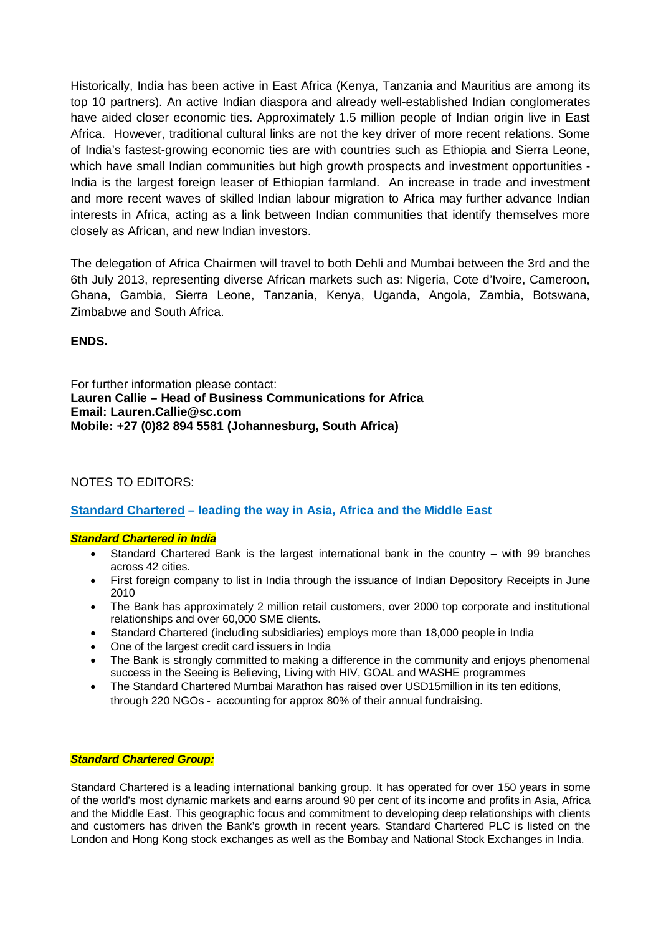Historically, India has been active in East Africa (Kenya, Tanzania and Mauritius are among its top 10 partners). An active Indian diaspora and already well-established Indian conglomerates have aided closer economic ties. Approximately 1.5 million people of Indian origin live in East Africa. However, traditional cultural links are not the key driver of more recent relations. Some of India's fastest-growing economic ties are with countries such as Ethiopia and Sierra Leone, which have small Indian communities but high growth prospects and investment opportunities - India is the largest foreign leaser of Ethiopian farmland. An increase in trade and investment and more recent waves of skilled Indian labour migration to Africa may further advance Indian interests in Africa, acting as a link between Indian communities that identify themselves more closely as African, and new Indian investors.

The delegation of Africa Chairmen will travel to both Dehli and Mumbai between the 3rd and the 6th July 2013, representing diverse African markets such as: Nigeria, Cote d'Ivoire, Cameroon, Ghana, Gambia, Sierra Leone, Tanzania, Kenya, Uganda, Angola, Zambia, Botswana, Zimbabwe and South Africa.

**ENDS.** 

For further information please contact: **Lauren Callie – Head of Business Communications for Africa Email: Lauren.Callie@sc.com Mobile: +27 (0)82 894 5581 (Johannesburg, South Africa)** 

## NOTES TO EDITORS:

## **Standard Chartered – leading the way in Asia, Africa and the Middle East**

### *Standard Chartered in India*

- Standard Chartered Bank is the largest international bank in the country  $-$  with 99 branches across 42 cities.
- First foreign company to list in India through the issuance of Indian Depository Receipts in June 2010
- The Bank has approximately 2 million retail customers, over 2000 top corporate and institutional relationships and over 60,000 SME clients.
- Standard Chartered (including subsidiaries) employs more than 18,000 people in India
- One of the largest credit card issuers in India
- The Bank is strongly committed to making a difference in the community and enjoys phenomenal success in the Seeing is Believing, Living with HIV, GOAL and WASHE programmes
- The Standard Chartered Mumbai Marathon has raised over USD15million in its ten editions, through 220 NGOs - accounting for approx 80% of their annual fundraising.

### *Standard Chartered Group:*

Standard Chartered is a leading international banking group. It has operated for over 150 years in some of the world's most dynamic markets and earns around 90 per cent of its income and profits in Asia, Africa and the Middle East. This geographic focus and commitment to developing deep relationships with clients and customers has driven the Bank's growth in recent years. Standard Chartered PLC is listed on the London and Hong Kong stock exchanges as well as the Bombay and National Stock Exchanges in India.